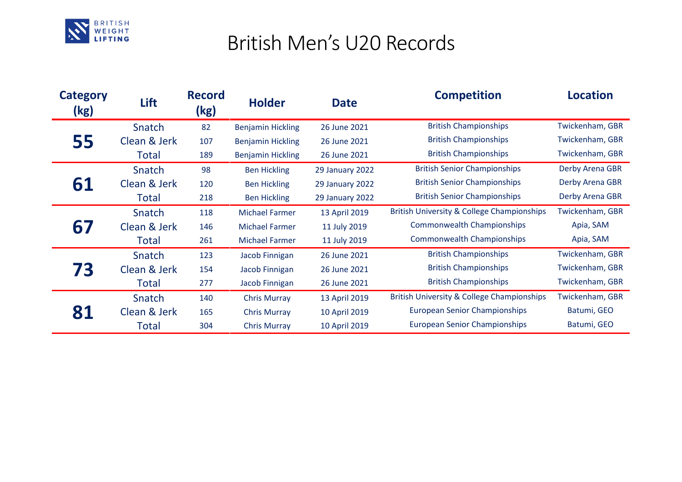

## British Men's U20 Records

| <b>Category</b><br>(kg) | Lift         | <b>Record</b><br>(kg) | <b>Holder</b>            | <b>Date</b>     | <b>Competition</b>                                    | <b>Location</b> |
|-------------------------|--------------|-----------------------|--------------------------|-----------------|-------------------------------------------------------|-----------------|
| 55                      | Snatch       | 82                    | <b>Benjamin Hickling</b> | 26 June 2021    | <b>British Championships</b>                          | Twickenham, GBR |
|                         | Clean & Jerk | 107                   | <b>Benjamin Hickling</b> | 26 June 2021    | <b>British Championships</b>                          | Twickenham, GBR |
|                         | Total        | 189                   | <b>Benjamin Hickling</b> | 26 June 2021    | <b>British Championships</b>                          | Twickenham, GBR |
| 61                      | Snatch       | 98                    | <b>Ben Hickling</b>      | 29 January 2022 | <b>British Senior Championships</b>                   | Derby Arena GBR |
|                         | Clean & Jerk | 120                   | <b>Ben Hickling</b>      | 29 January 2022 | <b>British Senior Championships</b>                   | Derby Arena GBR |
|                         | Total        | 218                   | <b>Ben Hickling</b>      | 29 January 2022 | <b>British Senior Championships</b>                   | Derby Arena GBR |
| 67                      | Snatch       | 118                   | <b>Michael Farmer</b>    | 13 April 2019   | <b>British University &amp; College Championships</b> | Twickenham, GBR |
|                         | Clean & Jerk | 146                   | <b>Michael Farmer</b>    | 11 July 2019    | <b>Commonwealth Championships</b>                     | Apia, SAM       |
|                         | Total        | 261                   | <b>Michael Farmer</b>    | 11 July 2019    | <b>Commonwealth Championships</b>                     | Apia, SAM       |
| 73                      | Snatch       | 123                   | Jacob Finnigan           | 26 June 2021    | <b>British Championships</b>                          | Twickenham, GBR |
|                         | Clean & Jerk | 154                   | Jacob Finnigan           | 26 June 2021    | <b>British Championships</b>                          | Twickenham, GBR |
|                         | Total        | 277                   | Jacob Finnigan           | 26 June 2021    | <b>British Championships</b>                          | Twickenham, GBR |
| 81                      | Snatch       | 140                   | <b>Chris Murray</b>      | 13 April 2019   | <b>British University &amp; College Championships</b> | Twickenham, GBR |
|                         | Clean & Jerk | 165                   | <b>Chris Murray</b>      | 10 April 2019   | <b>European Senior Championships</b>                  | Batumi, GEO     |
|                         | Total        | 304                   | <b>Chris Murray</b>      | 10 April 2019   | <b>European Senior Championships</b>                  | Batumi, GEO     |